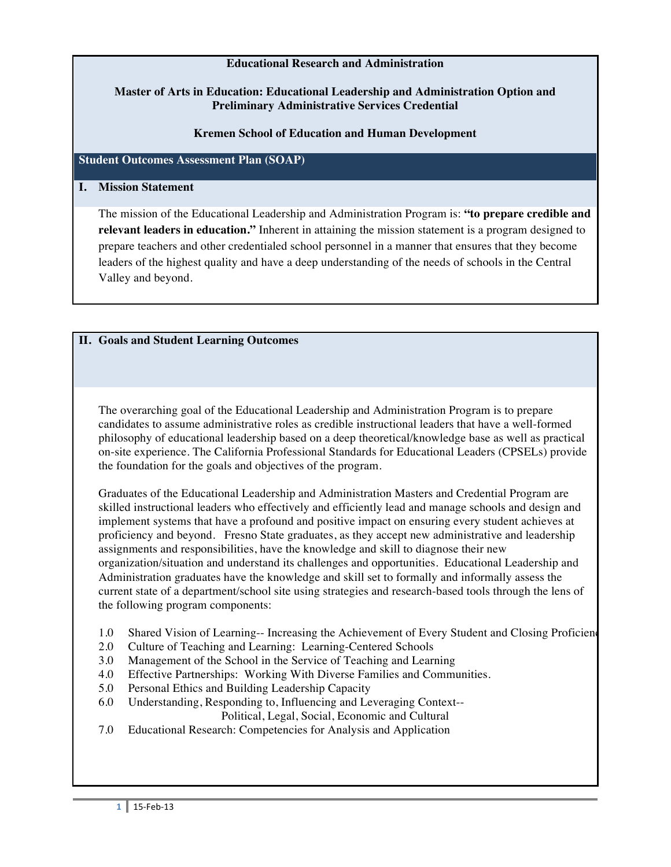# **Educational Research and Administration**

# **Master of Arts in Education: Educational Leadership and Administration Option and Preliminary Administrative Services Credential**

# **Kremen School of Education and Human Development**

# **Student Outcomes Assessment Plan (SOAP)**

#### **I. Mission Statement**

The mission of the Educational Leadership and Administration Program is: **"to prepare credible and relevant leaders in education."** Inherent in attaining the mission statement is a program designed to prepare teachers and other credentialed school personnel in a manner that ensures that they become leaders of the highest quality and have a deep understanding of the needs of schools in the Central Valley and beyond.

# **II. Goals and Student Learning Outcomes**

The overarching goal of the Educational Leadership and Administration Program is to prepare candidates to assume administrative roles as credible instructional leaders that have a well-formed philosophy of educational leadership based on a deep theoretical/knowledge base as well as practical on-site experience. The California Professional Standards for Educational Leaders (CPSELs) provide the foundation for the goals and objectives of the program.

Graduates of the Educational Leadership and Administration Masters and Credential Program are skilled instructional leaders who effectively and efficiently lead and manage schools and design and implement systems that have a profound and positive impact on ensuring every student achieves at proficiency and beyond. Fresno State graduates, as they accept new administrative and leadership assignments and responsibilities, have the knowledge and skill to diagnose their new organization/situation and understand its challenges and opportunities. Educational Leadership and Administration graduates have the knowledge and skill set to formally and informally assess the current state of a department/school site using strategies and research-based tools through the lens of the following program components:

- 1.0 Shared Vision of Learning-- Increasing the Achievement of Every Student and Closing Proficiency
- 2.0 Culture of Teaching and Learning: Learning-Centered Schools
- 3.0 Management of the School in the Service of Teaching and Learning
- 4.0 Effective Partnerships: Working With Diverse Families and Communities.
- 5.0 Personal Ethics and Building Leadership Capacity
- 6.0 Understanding, Responding to, Influencing and Leveraging Context-- Political, Legal, Social, Economic and Cultural
- 7.0 Educational Research: Competencies for Analysis and Application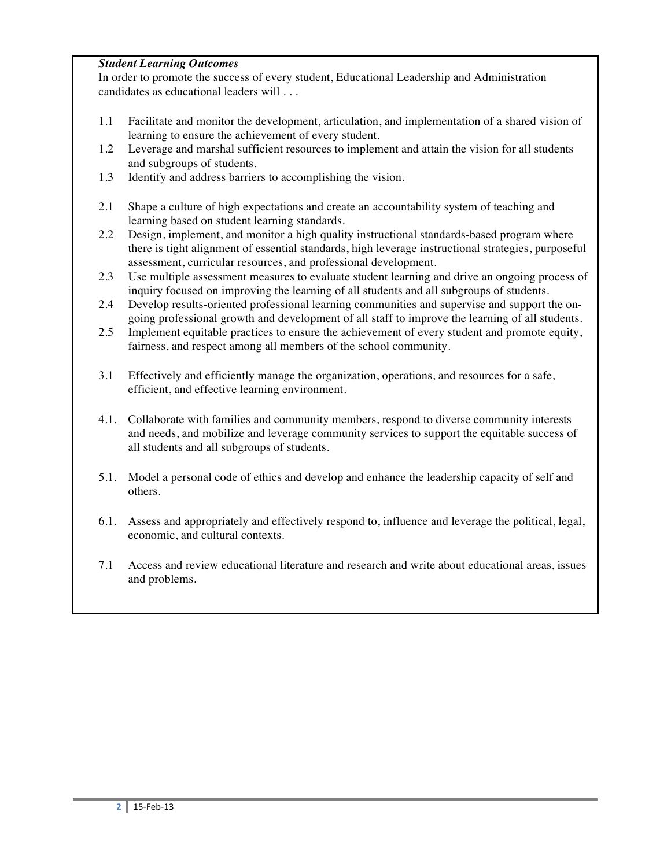# *Student Learning Outcomes*

In order to promote the success of every student, Educational Leadership and Administration candidates as educational leaders will . . .

- 1.1 Facilitate and monitor the development, articulation, and implementation of a shared vision of learning to ensure the achievement of every student.
- 1.2 Leverage and marshal sufficient resources to implement and attain the vision for all students and subgroups of students.
- 1.3 Identify and address barriers to accomplishing the vision.
- 2.1 Shape a culture of high expectations and create an accountability system of teaching and learning based on student learning standards.
- 2.2 Design, implement, and monitor a high quality instructional standards-based program where there is tight alignment of essential standards, high leverage instructional strategies, purposeful assessment, curricular resources, and professional development.
- 2.3 Use multiple assessment measures to evaluate student learning and drive an ongoing process of inquiry focused on improving the learning of all students and all subgroups of students.
- 2.4 Develop results-oriented professional learning communities and supervise and support the ongoing professional growth and development of all staff to improve the learning of all students.
- 2.5 Implement equitable practices to ensure the achievement of every student and promote equity, fairness, and respect among all members of the school community.
- 3.1 Effectively and efficiently manage the organization, operations, and resources for a safe, efficient, and effective learning environment.
- 4.1. Collaborate with families and community members, respond to diverse community interests and needs, and mobilize and leverage community services to support the equitable success of all students and all subgroups of students.
- 5.1. Model a personal code of ethics and develop and enhance the leadership capacity of self and others.
- 6.1. Assess and appropriately and effectively respond to, influence and leverage the political, legal, economic, and cultural contexts.
- 7.1 Access and review educational literature and research and write about educational areas, issues and problems.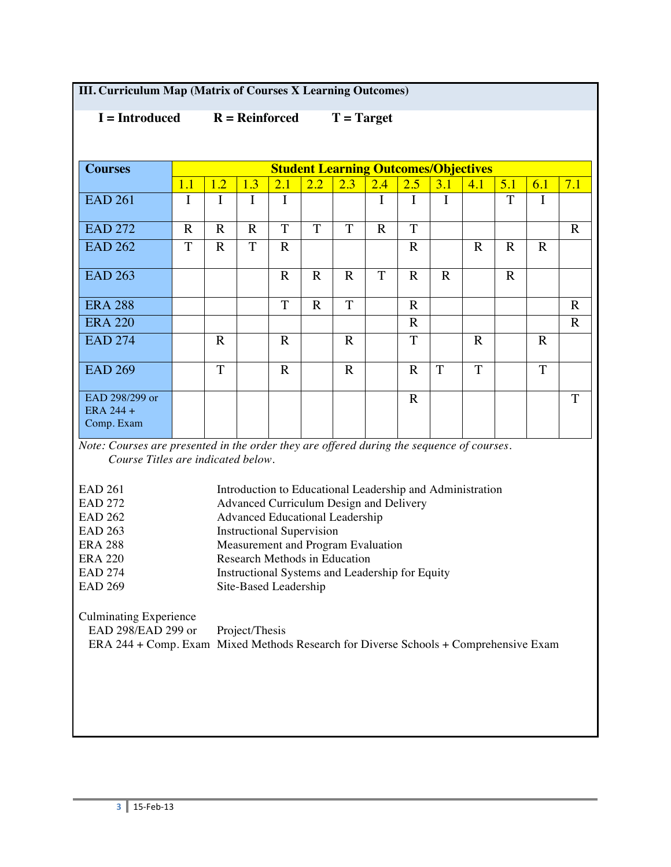|  | <b>III. Curriculum Map (Matrix of Courses X Learning Outcomes)</b> |
|--|--------------------------------------------------------------------|
|--|--------------------------------------------------------------------|

 **I = Introduced R = Reinforced T = Target**

| <b>Courses</b>                                                                                                                  | <b>Student Learning Outcomes/Objectives</b>     |                               |             |                |                                                           |                |             |                |             |             |             |              |             |
|---------------------------------------------------------------------------------------------------------------------------------|-------------------------------------------------|-------------------------------|-------------|----------------|-----------------------------------------------------------|----------------|-------------|----------------|-------------|-------------|-------------|--------------|-------------|
|                                                                                                                                 | 1.1                                             | 1.2                           | 1.3         | 2.1            | 2.2                                                       | 2.3            | 2.4         | 2.5            | 3.1         | 4.1         | 5.1         | 6.1          | 7.1         |
| <b>EAD 261</b>                                                                                                                  | I                                               | I                             | $\mathbf I$ | I              |                                                           |                | $\mathbf I$ | $\mathbf I$    | $\mathbf I$ |             | T           | I            |             |
| <b>EAD 272</b>                                                                                                                  | $\mathbf R$                                     | $\mathbf R$                   | $\mathbf R$ | $\overline{T}$ | T                                                         | $\overline{T}$ | $\mathbf R$ | $\overline{T}$ |             |             |             |              | $\mathbf R$ |
| <b>EAD 262</b>                                                                                                                  | T                                               | $\mathbf R$                   | T           | $\mathbf R$    |                                                           |                |             | $\mathbf R$    |             | $\mathbf R$ | $\mathbf R$ | $\mathbf R$  |             |
| <b>EAD 263</b>                                                                                                                  |                                                 |                               |             | $\mathbf R$    | $\mathbf R$                                               | $\mathbf R$    | T           | $\mathbf R$    | $\mathbf R$ |             | $\mathbf R$ |              |             |
| <b>ERA 288</b>                                                                                                                  |                                                 |                               |             | T              | $\mathbf R$                                               | T              |             | $\mathbf R$    |             |             |             |              | $\mathbf R$ |
| <b>ERA 220</b>                                                                                                                  |                                                 |                               |             |                |                                                           |                |             | $\mathbf R$    |             |             |             |              | $\mathbf R$ |
| <b>EAD 274</b>                                                                                                                  |                                                 | $\mathbf R$                   |             | $\mathbf R$    |                                                           | $\mathbf R$    |             | T              |             | $\mathbf R$ |             | $\mathbf{R}$ |             |
| <b>EAD 269</b>                                                                                                                  |                                                 | T                             |             | $\mathbf R$    |                                                           | $\mathbf R$    |             | $\mathbf R$    | T           | T           |             | $\mathbf T$  |             |
| EAD 298/299 or                                                                                                                  |                                                 |                               |             |                |                                                           |                |             | $\mathbf R$    |             |             |             |              | T           |
| ERA 244 +                                                                                                                       |                                                 |                               |             |                |                                                           |                |             |                |             |             |             |              |             |
| Comp. Exam                                                                                                                      |                                                 |                               |             |                |                                                           |                |             |                |             |             |             |              |             |
| Note: Courses are presented in the order they are offered during the sequence of courses.<br>Course Titles are indicated below. |                                                 |                               |             |                |                                                           |                |             |                |             |             |             |              |             |
| <b>EAD 261</b>                                                                                                                  |                                                 |                               |             |                | Introduction to Educational Leadership and Administration |                |             |                |             |             |             |              |             |
| <b>EAD 272</b>                                                                                                                  |                                                 |                               |             |                | Advanced Curriculum Design and Delivery                   |                |             |                |             |             |             |              |             |
| <b>EAD 262</b>                                                                                                                  |                                                 |                               |             |                | <b>Advanced Educational Leadership</b>                    |                |             |                |             |             |             |              |             |
| <b>EAD 263</b>                                                                                                                  |                                                 |                               |             |                | <b>Instructional Supervision</b>                          |                |             |                |             |             |             |              |             |
| <b>ERA 288</b>                                                                                                                  |                                                 |                               |             |                | Measurement and Program Evaluation                        |                |             |                |             |             |             |              |             |
| <b>ERA 220</b><br><b>EAD 274</b>                                                                                                |                                                 | Research Methods in Education |             |                |                                                           |                |             |                |             |             |             |              |             |
| <b>EAD 269</b>                                                                                                                  | Instructional Systems and Leadership for Equity |                               |             |                |                                                           |                |             |                |             |             |             |              |             |
| Site-Based Leadership<br><b>Culminating Experience</b>                                                                          |                                                 |                               |             |                |                                                           |                |             |                |             |             |             |              |             |
| EAD 298/EAD 299 or<br>Project/Thesis<br>ERA 244 + Comp. Exam Mixed Methods Research for Diverse Schools + Comprehensive Exam    |                                                 |                               |             |                |                                                           |                |             |                |             |             |             |              |             |
|                                                                                                                                 |                                                 |                               |             |                |                                                           |                |             |                |             |             |             |              |             |
|                                                                                                                                 |                                                 |                               |             |                |                                                           |                |             |                |             |             |             |              |             |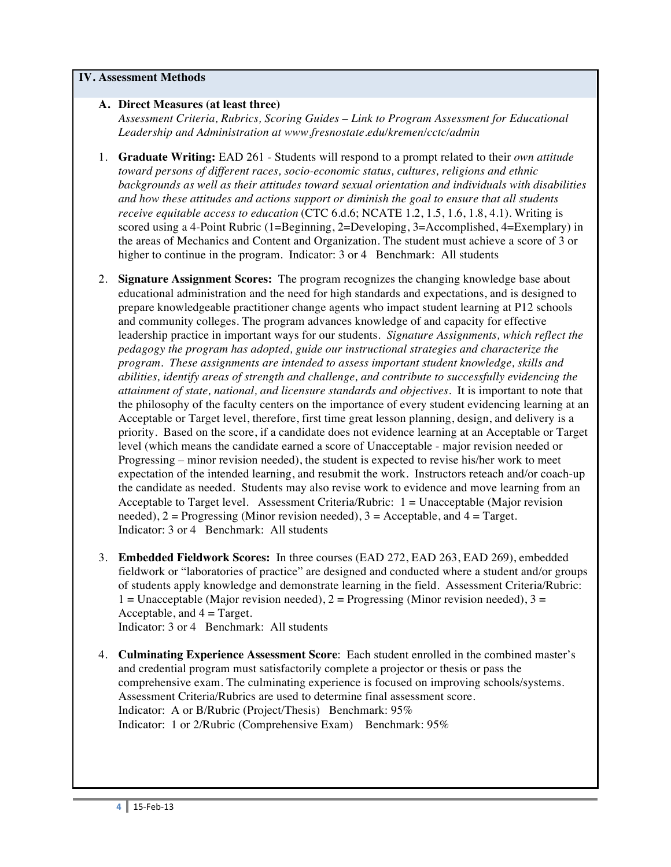#### **IV. Assessment Methods**

## **A. Direct Measures (at least three)**

*Assessment Criteria, Rubrics, Scoring Guides – Link to Program Assessment for Educational Leadership and Administration at www.fresnostate.edu/kremen/cctc/admin*

- 1. **Graduate Writing:** EAD 261 Students will respond to a prompt related to their *own attitude toward persons of different races, socio-economic status, cultures, religions and ethnic backgrounds as well as their attitudes toward sexual orientation and individuals with disabilities and how these attitudes and actions support or diminish the goal to ensure that all students receive equitable access to education* (CTC 6.d.6; NCATE 1.2, 1.5, 1.6, 1.8, 4.1). Writing is scored using a 4-Point Rubric (1=Beginning, 2=Developing, 3=Accomplished, 4=Exemplary) in the areas of Mechanics and Content and Organization. The student must achieve a score of 3 or higher to continue in the program. Indicator: 3 or 4 Benchmark: All students
- 2. **Signature Assignment Scores:** The program recognizes the changing knowledge base about educational administration and the need for high standards and expectations, and is designed to prepare knowledgeable practitioner change agents who impact student learning at P12 schools and community colleges. The program advances knowledge of and capacity for effective leadership practice in important ways for our students. *Signature Assignments, which reflect the pedagogy the program has adopted, guide our instructional strategies and characterize the program. These assignments are intended to assess important student knowledge, skills and abilities, identify areas of strength and challenge, and contribute to successfully evidencing the attainment of state, national, and licensure standards and objectives.* It is important to note that the philosophy of the faculty centers on the importance of every student evidencing learning at an Acceptable or Target level, therefore, first time great lesson planning, design, and delivery is a priority. Based on the score, if a candidate does not evidence learning at an Acceptable or Target level (which means the candidate earned a score of Unacceptable - major revision needed or Progressing – minor revision needed), the student is expected to revise his/her work to meet expectation of the intended learning, and resubmit the work. Instructors reteach and/or coach-up the candidate as needed. Students may also revise work to evidence and move learning from an Acceptable to Target level. Assessment Criteria/Rubric:  $1 =$  Unacceptable (Major revision needed),  $2 =$  Progressing (Minor revision needed),  $3 =$  Acceptable, and  $4 =$  Target. Indicator: 3 or 4 Benchmark: All students
- 3. **Embedded Fieldwork Scores:** In three courses (EAD 272, EAD 263, EAD 269), embedded fieldwork or "laboratories of practice" are designed and conducted where a student and/or groups of students apply knowledge and demonstrate learning in the field. Assessment Criteria/Rubric: 1 = Unacceptable (Major revision needed),  $2$  = Progressing (Minor revision needed),  $3$  = Acceptable, and  $4 = Target$ . Indicator: 3 or 4 Benchmark: All students
- 4. **Culminating Experience Assessment Score**: Each student enrolled in the combined master's and credential program must satisfactorily complete a projector or thesis or pass the comprehensive exam. The culminating experience is focused on improving schools/systems. Assessment Criteria/Rubrics are used to determine final assessment score. Indicator: A or B/Rubric (Project/Thesis) Benchmark: 95% Indicator: 1 or 2/Rubric (Comprehensive Exam) Benchmark: 95%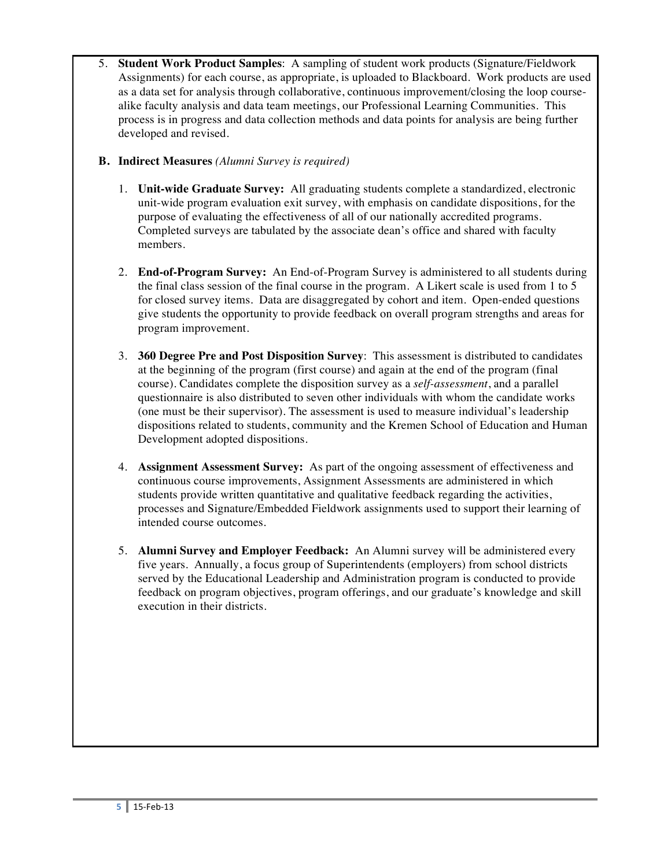5. **Student Work Product Samples**: A sampling of student work products (Signature/Fieldwork Assignments) for each course, as appropriate, is uploaded to Blackboard. Work products are used as a data set for analysis through collaborative, continuous improvement/closing the loop coursealike faculty analysis and data team meetings, our Professional Learning Communities. This process is in progress and data collection methods and data points for analysis are being further developed and revised.

# **B. Indirect Measures** *(Alumni Survey is required)*

- 1. **Unit-wide Graduate Survey:** All graduating students complete a standardized, electronic unit-wide program evaluation exit survey, with emphasis on candidate dispositions, for the purpose of evaluating the effectiveness of all of our nationally accredited programs. Completed surveys are tabulated by the associate dean's office and shared with faculty members.
- 2. **End-of-Program Survey:** An End-of-Program Survey is administered to all students during the final class session of the final course in the program. A Likert scale is used from 1 to 5 for closed survey items. Data are disaggregated by cohort and item. Open-ended questions give students the opportunity to provide feedback on overall program strengths and areas for program improvement.
- 3. **360 Degree Pre and Post Disposition Survey**: This assessment is distributed to candidates at the beginning of the program (first course) and again at the end of the program (final course). Candidates complete the disposition survey as a *self-assessment*, and a parallel questionnaire is also distributed to seven other individuals with whom the candidate works (one must be their supervisor). The assessment is used to measure individual's leadership dispositions related to students, community and the Kremen School of Education and Human Development adopted dispositions.
- 4. **Assignment Assessment Survey:** As part of the ongoing assessment of effectiveness and continuous course improvements, Assignment Assessments are administered in which students provide written quantitative and qualitative feedback regarding the activities, processes and Signature/Embedded Fieldwork assignments used to support their learning of intended course outcomes.
- 5. **Alumni Survey and Employer Feedback:** An Alumni survey will be administered every five years. Annually, a focus group of Superintendents (employers) from school districts served by the Educational Leadership and Administration program is conducted to provide feedback on program objectives, program offerings, and our graduate's knowledge and skill execution in their districts.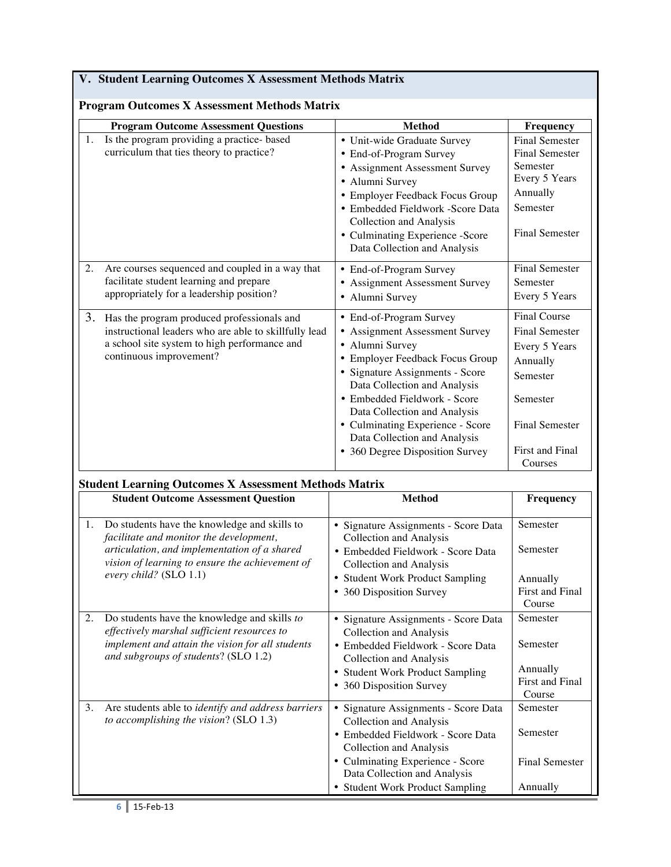# **V. Student Learning Outcomes X Assessment Methods Matrix**

|    | <b>Program Outcome Assessment Questions</b>                                                                                                                                                                          | <b>Method</b>                                                                                                                                                                                                                                                                                                                                                | Frequency                                                                                                                                                |
|----|----------------------------------------------------------------------------------------------------------------------------------------------------------------------------------------------------------------------|--------------------------------------------------------------------------------------------------------------------------------------------------------------------------------------------------------------------------------------------------------------------------------------------------------------------------------------------------------------|----------------------------------------------------------------------------------------------------------------------------------------------------------|
| 1. | Is the program providing a practice- based<br>curriculum that ties theory to practice?                                                                                                                               | • Unit-wide Graduate Survey<br>• End-of-Program Survey<br>• Assignment Assessment Survey<br>• Alumni Survey<br>• Employer Feedback Focus Group<br>· Embedded Fieldwork -Score Data<br>Collection and Analysis<br>• Culminating Experience -Score<br>Data Collection and Analysis                                                                             | <b>Final Semester</b><br><b>Final Semester</b><br>Semester<br>Every 5 Years<br>Annually<br>Semester<br><b>Final Semester</b>                             |
| 2. | Are courses sequenced and coupled in a way that<br>facilitate student learning and prepare<br>appropriately for a leadership position?                                                                               | • End-of-Program Survey<br>• Assignment Assessment Survey<br>· Alumni Survey                                                                                                                                                                                                                                                                                 | Final Semester<br>Semester<br>Every 5 Years                                                                                                              |
| 3. | Has the program produced professionals and<br>instructional leaders who are able to skillfully lead<br>a school site system to high performance and<br>continuous improvement?                                       | • End-of-Program Survey<br><b>Assignment Assessment Survey</b><br>• Alumni Survey<br>Employer Feedback Focus Group<br>• Signature Assignments - Score<br>Data Collection and Analysis<br>· Embedded Fieldwork - Score<br>Data Collection and Analysis<br>• Culminating Experience - Score<br>Data Collection and Analysis<br>• 360 Degree Disposition Survey | <b>Final Course</b><br><b>Final Semester</b><br>Every 5 Years<br>Annually<br>Semester<br>Semester<br><b>Final Semester</b><br>First and Final<br>Courses |
|    | <b>Student Learning Outcomes X Assessment Methods Matrix</b>                                                                                                                                                         |                                                                                                                                                                                                                                                                                                                                                              |                                                                                                                                                          |
|    | <b>Student Outcome Assessment Question</b>                                                                                                                                                                           | <b>Method</b>                                                                                                                                                                                                                                                                                                                                                | Frequency                                                                                                                                                |
| 1. | Do students have the knowledge and skills to<br>facilitate and monitor the development,<br>articulation, and implementation of a shared<br>vision of learning to ensure the achievement of<br>every child? (SLO 1.1) | · Signature Assignments - Score Data<br>Collection and Analysis<br>· Embedded Fieldwork - Score Data<br><b>Collection and Analysis</b><br>• Student Work Product Sampling<br>• 360 Disposition Survey                                                                                                                                                        | Semester<br>Semester<br>Annually<br>First and Final<br>Course                                                                                            |
| 2. | Do students have the knowledge and skills to<br>effectively marshal sufficient resources to<br>implement and attain the vision for all students<br>and subgroups of students? (SLO 1.2)                              | • Signature Assignments - Score Data<br><b>Collection and Analysis</b><br>· Embedded Fieldwork - Score Data<br><b>Collection and Analysis</b><br>• Student Work Product Sampling<br>• 360 Disposition Survey                                                                                                                                                 | Semester<br>Semester<br>Annually<br>First and Final<br>Course                                                                                            |
| 3. | Are students able to identify and address barriers<br>to accomplishing the vision? (SLO 1.3)                                                                                                                         | • Signature Assignments - Score Data<br><b>Collection and Analysis</b><br>· Embedded Fieldwork - Score Data<br>Collection and Analysis<br>• Culminating Experience - Score<br>Data Collection and Analysis<br>• Student Work Product Sampling                                                                                                                | Semester<br>Semester<br><b>Final Semester</b><br>Annually                                                                                                |

# **Program Outcomes X Assessment Methods Matrix**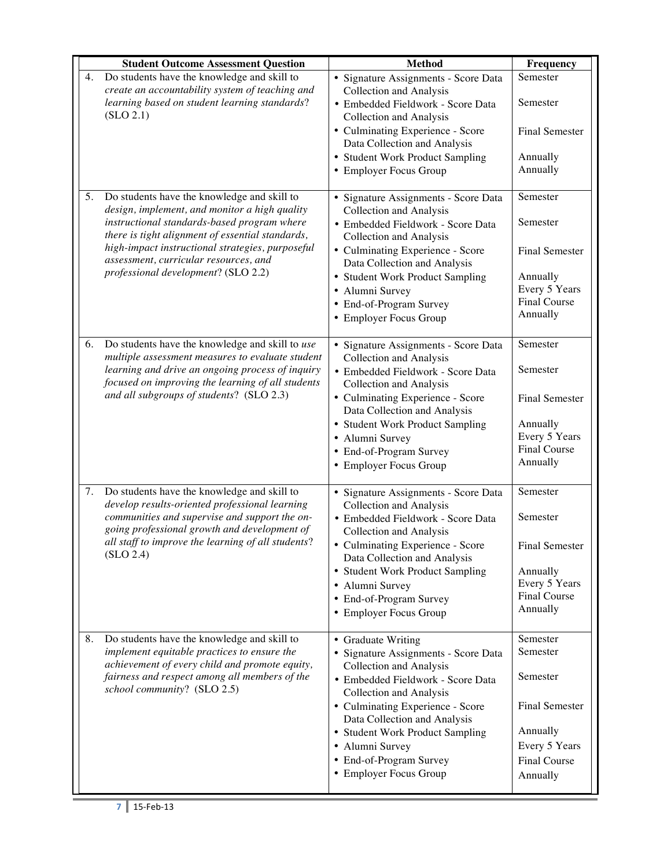|    | <b>Student Outcome Assessment Question</b>                                                                                                                                                                                   | <b>Method</b>                                                                                                                                                                                                 | Frequency                                                                      |
|----|------------------------------------------------------------------------------------------------------------------------------------------------------------------------------------------------------------------------------|---------------------------------------------------------------------------------------------------------------------------------------------------------------------------------------------------------------|--------------------------------------------------------------------------------|
| 4. | Do students have the knowledge and skill to<br>create an accountability system of teaching and<br>learning based on student learning standards?<br>(SLO 2.1)                                                                 | · Signature Assignments - Score Data<br><b>Collection and Analysis</b><br>· Embedded Fieldwork - Score Data<br>Collection and Analysis<br>• Culminating Experience - Score                                    | Semester<br>Semester<br><b>Final Semester</b>                                  |
|    |                                                                                                                                                                                                                              | Data Collection and Analysis<br>• Student Work Product Sampling<br>• Employer Focus Group                                                                                                                     | Annually<br>Annually                                                           |
| 5. | Do students have the knowledge and skill to<br>design, implement, and monitor a high quality<br>instructional standards-based program where<br>there is tight alignment of essential standards,                              | • Signature Assignments - Score Data<br>Collection and Analysis<br>· Embedded Fieldwork - Score Data<br>Collection and Analysis                                                                               | Semester<br>Semester                                                           |
|    | high-impact instructional strategies, purposeful<br>assessment, curricular resources, and                                                                                                                                    | • Culminating Experience - Score<br>Data Collection and Analysis                                                                                                                                              | <b>Final Semester</b>                                                          |
|    | professional development? (SLO 2.2)                                                                                                                                                                                          | • Student Work Product Sampling<br>· Alumni Survey<br>• End-of-Program Survey<br>• Employer Focus Group                                                                                                       | Annually<br>Every 5 Years<br><b>Final Course</b><br>Annually                   |
| 6. | Do students have the knowledge and skill to use<br>multiple assessment measures to evaluate student<br>learning and drive an ongoing process of inquiry                                                                      | · Signature Assignments - Score Data<br><b>Collection and Analysis</b><br>· Embedded Fieldwork - Score Data                                                                                                   | Semester<br>Semester                                                           |
|    | focused on improving the learning of all students<br>and all subgroups of students? (SLO 2.3)                                                                                                                                | Collection and Analysis<br>• Culminating Experience - Score<br>Data Collection and Analysis                                                                                                                   | <b>Final Semester</b>                                                          |
|    |                                                                                                                                                                                                                              | • Student Work Product Sampling<br>· Alumni Survey<br>• End-of-Program Survey<br>• Employer Focus Group                                                                                                       | Annually<br>Every 5 Years<br><b>Final Course</b><br>Annually                   |
| 7. | Do students have the knowledge and skill to<br>develop results-oriented professional learning<br>communities and supervise and support the on-                                                                               | • Signature Assignments - Score Data<br>Collection and Analysis<br>· Embedded Fieldwork - Score Data                                                                                                          | Semester<br>Semester                                                           |
|    | going professional growth and development of<br>all staff to improve the learning of all students?<br>(SLO 2.4)                                                                                                              | Collection and Analysis<br>Culminating Experience - Score<br>Data Collection and Analysis<br>• Student Work Product Sampling<br>• Alumni Survey<br>• End-of-Program Survey<br>• Employer Focus Group          | Final Semester<br>Annually<br>Every 5 Years<br>Final Course<br>Annually        |
| 8. | Do students have the knowledge and skill to<br>implement equitable practices to ensure the<br>achievement of every child and promote equity,<br>fairness and respect among all members of the<br>school community? (SLO 2.5) | • Graduate Writing<br>• Signature Assignments - Score Data<br><b>Collection and Analysis</b><br>• Embedded Fieldwork - Score Data                                                                             | Semester<br>Semester<br>Semester                                               |
|    |                                                                                                                                                                                                                              | <b>Collection and Analysis</b><br>• Culminating Experience - Score<br>Data Collection and Analysis<br>• Student Work Product Sampling<br>· Alumni Survey<br>• End-of-Program Survey<br>• Employer Focus Group | <b>Final Semester</b><br>Annually<br>Every 5 Years<br>Final Course<br>Annually |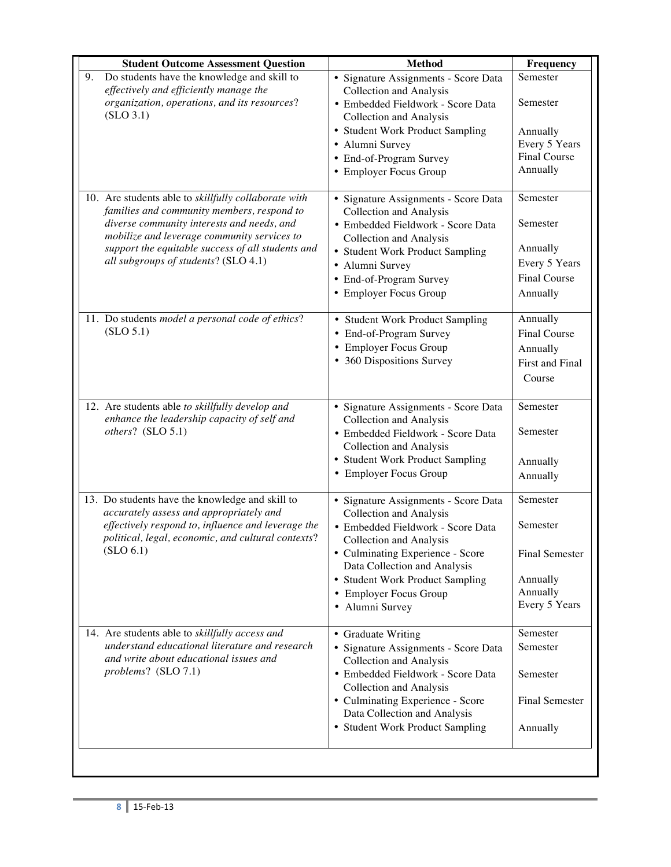| <b>Student Outcome Assessment Question</b>                                                                                                                                                                                                                                                   | <b>Method</b>                                                                                                                                                                                                                                                                              | Frequency                                                                              |
|----------------------------------------------------------------------------------------------------------------------------------------------------------------------------------------------------------------------------------------------------------------------------------------------|--------------------------------------------------------------------------------------------------------------------------------------------------------------------------------------------------------------------------------------------------------------------------------------------|----------------------------------------------------------------------------------------|
| Do students have the knowledge and skill to<br>9.<br>effectively and efficiently manage the<br>organization, operations, and its resources?<br>(SLO 3.1)                                                                                                                                     | · Signature Assignments - Score Data<br><b>Collection and Analysis</b><br>· Embedded Fieldwork - Score Data<br><b>Collection and Analysis</b><br>• Student Work Product Sampling<br>· Alumni Survey<br>• End-of-Program Survey<br>• Employer Focus Group                                   | Semester<br>Semester<br>Annually<br>Every 5 Years<br><b>Final Course</b><br>Annually   |
| 10. Are students able to skillfully collaborate with<br>families and community members, respond to<br>diverse community interests and needs, and<br>mobilize and leverage community services to<br>support the equitable success of all students and<br>all subgroups of students? (SLO 4.1) | · Signature Assignments - Score Data<br><b>Collection and Analysis</b><br>· Embedded Fieldwork - Score Data<br>Collection and Analysis<br>• Student Work Product Sampling<br>• Alumni Survey<br>• End-of-Program Survey<br>• Employer Focus Group                                          | Semester<br>Semester<br>Annually<br>Every 5 Years<br><b>Final Course</b><br>Annually   |
| 11. Do students model a personal code of ethics?<br>(SLO 5.1)                                                                                                                                                                                                                                | • Student Work Product Sampling<br>End-of-Program Survey<br><b>Employer Focus Group</b><br>360 Dispositions Survey<br>$\bullet$                                                                                                                                                            | Annually<br><b>Final Course</b><br>Annually<br>First and Final<br>Course               |
| 12. Are students able to skillfully develop and<br>enhance the leadership capacity of self and<br>others? (SLO 5.1)                                                                                                                                                                          | · Signature Assignments - Score Data<br>Collection and Analysis<br>· Embedded Fieldwork - Score Data<br>Collection and Analysis<br>• Student Work Product Sampling<br>• Employer Focus Group                                                                                               | Semester<br>Semester<br>Annually<br>Annually                                           |
| 13. Do students have the knowledge and skill to<br>accurately assess and appropriately and<br>effectively respond to, influence and leverage the<br>political, legal, economic, and cultural contexts?<br>(SLO 6.1)                                                                          | · Signature Assignments - Score Data<br><b>Collection and Analysis</b><br>· Embedded Fieldwork - Score Data<br>Collection and Analysis<br>• Culminating Experience - Score<br>Data Collection and Analysis<br>• Student Work Product Sampling<br>• Employer Focus Group<br>• Alumni Survey | Semester<br>Semester<br><b>Final Semester</b><br>Annually<br>Annually<br>Every 5 Years |
| 14. Are students able to skillfully access and<br>understand educational literature and research<br>and write about educational issues and<br>problems? (SLO 7.1)                                                                                                                            | • Graduate Writing<br>· Signature Assignments - Score Data<br>Collection and Analysis<br>· Embedded Fieldwork - Score Data<br>Collection and Analysis<br>• Culminating Experience - Score<br>Data Collection and Analysis<br>• Student Work Product Sampling                               | Semester<br>Semester<br>Semester<br><b>Final Semester</b><br>Annually                  |
|                                                                                                                                                                                                                                                                                              |                                                                                                                                                                                                                                                                                            |                                                                                        |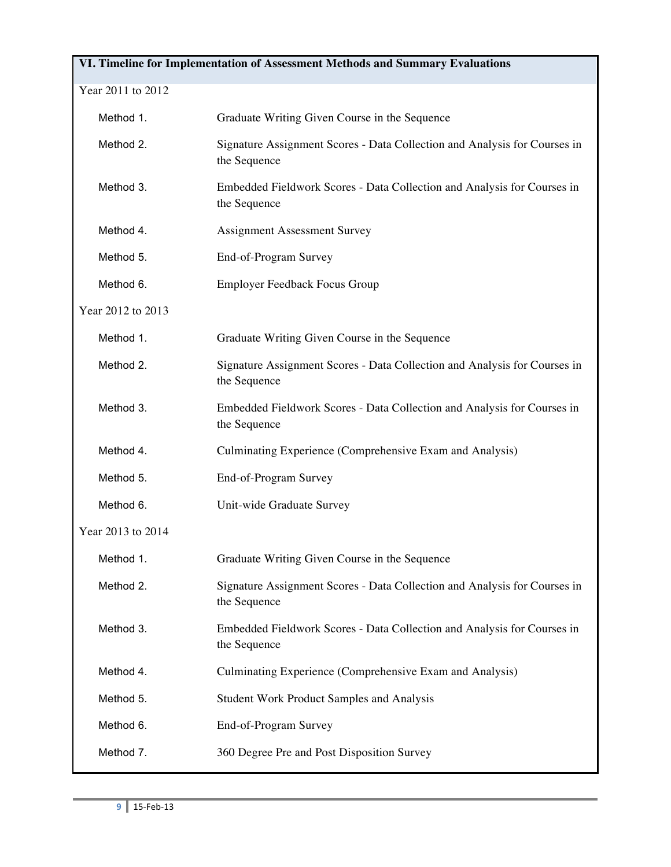# **VI. Timeline for Implementation of Assessment Methods and Summary Evaluations** Year 2011 to 2012 Method 1. Graduate Writing Given Course in the Sequence Method 2. Signature Assignment Scores - Data Collection and Analysis for Courses in the Sequence Method 3. Embedded Fieldwork Scores - Data Collection and Analysis for Courses in the Sequence Method 4. Assignment Assessment Survey Method 5. End-of-Program Survey Method 6. Employer Feedback Focus Group Year 2012 to 2013 Method 1. Graduate Writing Given Course in the Sequence Method 2. Signature Assignment Scores - Data Collection and Analysis for Courses in the Sequence Method 3. Embedded Fieldwork Scores - Data Collection and Analysis for Courses in the Sequence Method 4. Culminating Experience (Comprehensive Exam and Analysis) Method 5. End-of-Program Survey Method 6. Unit-wide Graduate Survey Year 2013 to 2014 Method 1. Graduate Writing Given Course in the Sequence Method 2. Signature Assignment Scores - Data Collection and Analysis for Courses in the Sequence Method 3. Embedded Fieldwork Scores - Data Collection and Analysis for Courses in the Sequence Method 4. Culminating Experience (Comprehensive Exam and Analysis) Method 5. Student Work Product Samples and Analysis Method 6. End-of-Program Survey Method 7. 360 Degree Pre and Post Disposition Survey